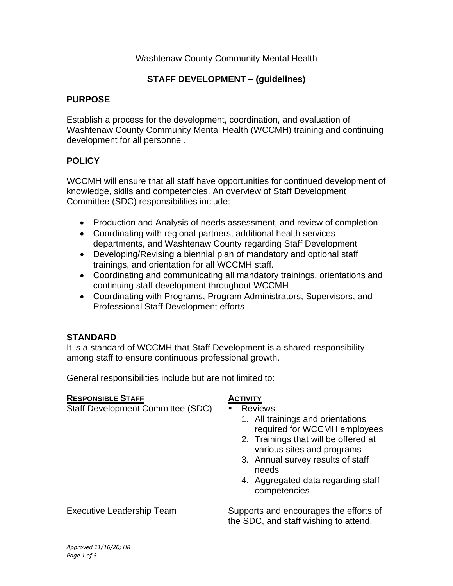# Washtenaw County Community Mental Health

## **STAFF DEVELOPMENT – (guidelines)**

### **PURPOSE**

Establish a process for the development, coordination, and evaluation of Washtenaw County Community Mental Health (WCCMH) training and continuing development for all personnel.

### **POLICY**

WCCMH will ensure that all staff have opportunities for continued development of knowledge, skills and competencies. An overview of Staff Development Committee (SDC) responsibilities include:

- Production and Analysis of needs assessment, and review of completion
- Coordinating with regional partners, additional health services departments, and Washtenaw County regarding Staff Development
- Developing/Revising a biennial plan of mandatory and optional staff trainings, and orientation for all WCCMH staff.
- Coordinating and communicating all mandatory trainings, orientations and continuing staff development throughout WCCMH
- Coordinating with Programs, Program Administrators, Supervisors, and Professional Staff Development efforts

#### **STANDARD**

It is a standard of WCCMH that Staff Development is a shared responsibility among staff to ensure continuous professional growth.

General responsibilities include but are not limited to:

| <b>RESPONSIBLE STAFF</b>                 | <b>ACTIVITY</b>                                                                                                                                                                                                                                                |
|------------------------------------------|----------------------------------------------------------------------------------------------------------------------------------------------------------------------------------------------------------------------------------------------------------------|
| <b>Staff Development Committee (SDC)</b> | <b>Reviews:</b><br>1. All trainings and orientations<br>required for WCCMH employees<br>2. Trainings that will be offered at<br>various sites and programs<br>3. Annual survey results of staff<br>needs<br>4. Aggregated data regarding staff<br>competencies |
| <b>Executive Leadership Team</b>         | Supports and encourages the efforts of<br>the SDC, and staff wishing to attend,                                                                                                                                                                                |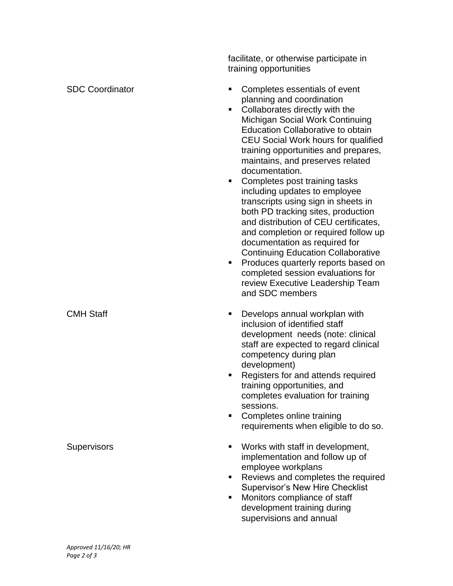training opportunities SDC Coordinator Completes essentials of event planning and coordination Collaborates directly with the Michigan Social Work Continuing Education Collaborative to obtain CEU Social Work hours for qualified training opportunities and prepares, maintains, and preserves related documentation. ■ Completes post training tasks including updates to employee transcripts using sign in sheets in both PD tracking sites, production and distribution of CEU certificates, and completion or required follow up documentation as required for Continuing Education Collaborative ■ Produces quarterly reports based on completed session evaluations for review Executive Leadership Team and SDC members CMH Staff ■ Develops annual workplan with inclusion of identified staff development needs (note: clinical staff are expected to regard clinical competency during plan development) ■ Registers for and attends required training opportunities, and completes evaluation for training sessions. ■ Completes online training requirements when eligible to do so. **Supervisors** ▪ Work s with staff in development, implementation and follow up of employee workplans ■ Reviews and completes the required Supervisor's New Hire Checklist ■ Monitors compliance of staff development training during supervisions and annual

facilitate, or otherwise participate in